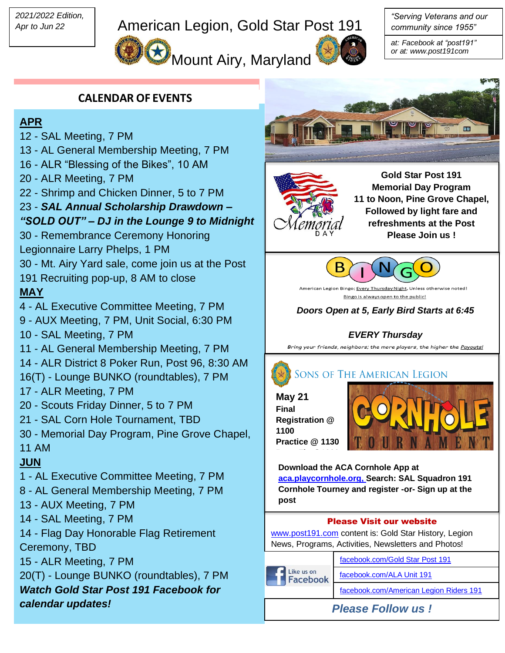*2021/2022 Edition, Apr to Jun 22*

# American Legion, Gold Star Post 191

**Mount Airy, Maryland** 



*"Serving Veterans and our community since 1955"*

*at: Facebook at "post191" or at: www.post191com*

### **CALENDAR OF EVENTS**

#### **APR**

- 12 SAL Meeting, 7 PM
- 13 AL General Membership Meeting, 7 PM
- 16 ALR "Blessing of the Bikes", 10 AM
- 20 ALR Meeting, 7 PM
- 22 Shrimp and Chicken Dinner, 5 to 7 PM

## 23 - *SAL Annual Scholarship Drawdown –*

#### *"SOLD OUT" – DJ in the Lounge 9 to Midnight*

- 30 Remembrance Ceremony Honoring
- Legionnaire Larry Phelps, 1 PM
- 30 Mt. Airy Yard sale, come join us at the Post
- 191 Recruiting pop-up, 8 AM to close

#### **MAY**

- 4 AL Executive Committee Meeting, 7 PM
- 9 AUX Meeting, 7 PM, Unit Social, 6:30 PM 10 - SAL Meeting, 7 PM
- 11 AL General Membership Meeting, 7 PM
- 14 ALR District 8 Poker Run, Post 96, 8:30 AM
- 16(T) Lounge BUNKO (roundtables), 7 PM
- 17 ALR Meeting, 7 PM
- 20 Scouts Friday Dinner, 5 to 7 PM
- 21 SAL Corn Hole Tournament, TBD
- 30 Memorial Day Program, Pine Grove Chapel, 11 AM

### **JUN**

- 1 AL Executive Committee Meeting, 7 PM
- 8 AL General Membership Meeting, 7 PM
- 13 AUX Meeting, 7 PM
- 14 SAL Meeting, 7 PM
- 14 Flag Day Honorable Flag Retirement Ceremony, TBD
- 15 ALR Meeting, 7 PM
- 20(T) Lounge BUNKO (roundtables), 7 PM *Watch Gold Star Post 191 Facebook for calendar updates!*



**Gold Star Post 191 Memorial Day Program 11 to Noon, Pine Grove Chapel, Followed by light fare and refreshments at the Post Please Join us !**



American Legion Bingo; Every Thursday Night, Unless otherwise noted! Bingo is always open to the public!

*Doors Open at 5, Early Bird Starts at 6:45*

### *EVERY Thursday*

Bring your friends, neighbors; the more players, the higher the Payouts!



#### **SONS OF THE AMERICAN LEGION**

**May 21 Final Registration @ 1100 Practice @ 1130**

**Bags Fly @1230**



**Download the ACA Cornhole App at [aca.playcornhole.org,](http://www.aca.playcornhole.org/) Search: SAL Squadron 191 Cornhole Tourney and register -or- Sign up at the post** 

#### Please Visit our website

[www.post191.com](http://www.post191.com/) content is: Gold Star History, Legion News, Programs, Activities, Newsletters and Photos!

Like us on **Facebook** 

[facebook.com/Gold Star Post 191](https://www.facebook.com/groups/177308862349871/) [facebook.com/ALA Unit 191](https://www.facebook.com/groups/646995588773639/?__cft__%5b0%5d=AZXs1Yzbki9eRmEXVgBHir9YwjByOxzA7QkBhj0HOeFZieqkc8eTID1AFwC-2VLHsLuNFn01B7oqJG3ZYDUM3eNs5byhKC5Qm4cYeGZu9BswdfG8MTVV9YaHtbW3cR-pUKLiG5qWtaDcby_9jhIDVf7Q&__tn__=-UC%2CP-R)

[facebook.com/American Legion Riders 191](https://www.facebook.com/American-Legion-Riders-Post-191-628642077235568/)

*Please Follow us !*